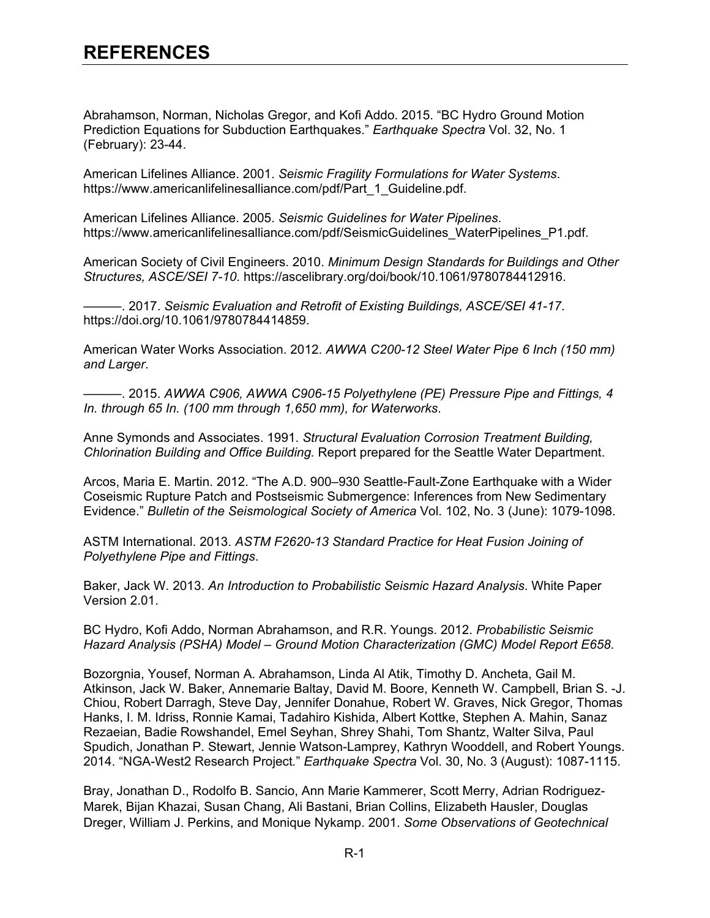## **REFERENCES**

Abrahamson, Norman, Nicholas Gregor, and Kofi Addo. 2015. "BC Hydro Ground Motion Prediction Equations for Subduction Earthquakes." *Earthquake Spectra* Vol. 32, No. 1 (February): 23-44.

American Lifelines Alliance. 2001. *Seismic Fragility Formulations for Water Systems*. https://www.americanlifelinesalliance.com/pdf/Part\_1\_Guideline.pdf.

American Lifelines Alliance. 2005. *Seismic Guidelines for Water Pipelines*. https://www.americanlifelinesalliance.com/pdf/SeismicGuidelines\_WaterPipelines\_P1.pdf.

American Society of Civil Engineers. 2010. *Minimum Design Standards for Buildings and Other Structures, ASCE/SEI 7-10*. https://ascelibrary.org/doi/book/10.1061/9780784412916.

———. 2017. *Seismic Evaluation and Retrofit of Existing Buildings, ASCE/SEI 41-17*. https://doi.org/10.1061/9780784414859.

American Water Works Association. 2012. *AWWA C200-12 Steel Water Pipe 6 Inch (150 mm) and Larger*.

———. 2015. *AWWA C906, AWWA C906-15 Polyethylene (PE) Pressure Pipe and Fittings, 4 In. through 65 In. (100 mm through 1,650 mm), for Waterworks*.

Anne Symonds and Associates. 1991. *Structural Evaluation Corrosion Treatment Building, Chlorination Building and Office Building.* Report prepared for the Seattle Water Department.

Arcos, Maria E. Martin. 2012. "The A.D. 900–930 Seattle-Fault-Zone Earthquake with a Wider Coseismic Rupture Patch and Postseismic Submergence: Inferences from New Sedimentary Evidence." *Bulletin of the Seismological Society of America* Vol. 102, No. 3 (June): 1079-1098.

ASTM International. 2013. *ASTM F2620-13 Standard Practice for Heat Fusion Joining of Polyethylene Pipe and Fittings*.

Baker, Jack W. 2013. *An Introduction to Probabilistic Seismic Hazard Analysis*. White Paper Version 2.01.

BC Hydro, Kofi Addo, Norman Abrahamson, and R.R. Youngs. 2012. *Probabilistic Seismic Hazard Analysis (PSHA) Model – Ground Motion Characterization (GMC) Model Report E658*.

Bozorgnia, Yousef, Norman A. Abrahamson, Linda Al Atik, Timothy D. Ancheta, Gail M. Atkinson, Jack W. Baker, Annemarie Baltay, David M. Boore, Kenneth W. Campbell, Brian S. -J. Chiou, Robert Darragh, Steve Day, Jennifer Donahue, Robert W. Graves, Nick Gregor, Thomas Hanks, I. M. Idriss, Ronnie Kamai, Tadahiro Kishida, Albert Kottke, Stephen A. Mahin, Sanaz Rezaeian, Badie Rowshandel, Emel Seyhan, Shrey Shahi, Tom Shantz, Walter Silva, Paul Spudich, Jonathan P. Stewart, Jennie Watson-Lamprey, Kathryn Wooddell, and Robert Youngs. 2014. "NGA-West2 Research Project*.*" *Earthquake Spectra* Vol. 30, No. 3 (August): 1087-1115.

Bray, Jonathan D., Rodolfo B. Sancio, Ann Marie Kammerer, Scott Merry, Adrian Rodriguez-Marek, Bijan Khazai, Susan Chang, Ali Bastani, Brian Collins, Elizabeth Hausler, Douglas Dreger, William J. Perkins, and Monique Nykamp. 2001. *Some Observations of Geotechnical*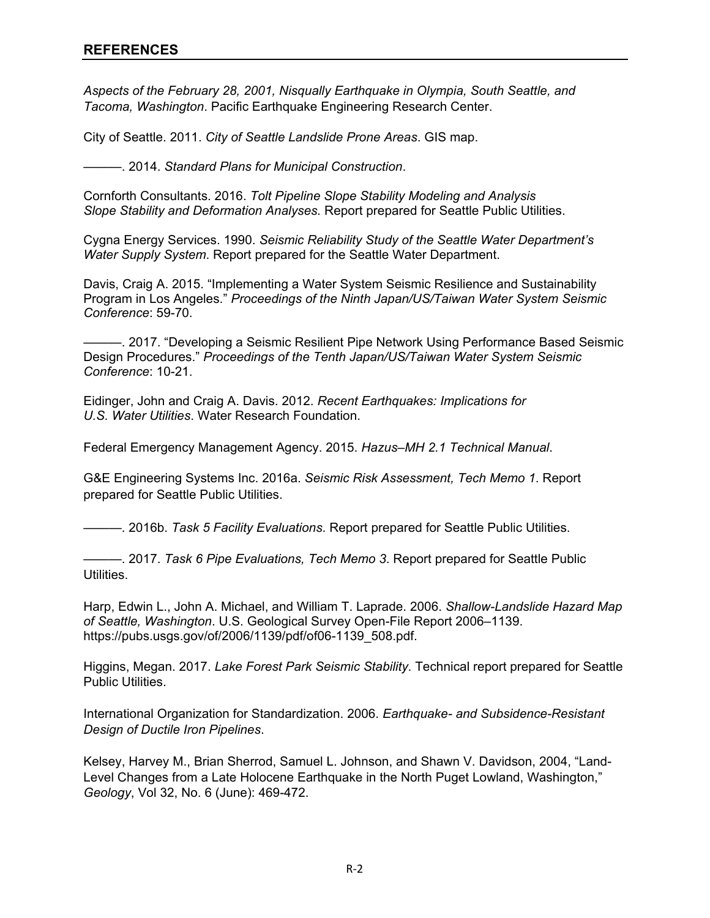*Aspects of the February 28, 2001, Nisqually Earthquake in Olympia, South Seattle, and Tacoma, Washington*. Pacific Earthquake Engineering Research Center.

City of Seattle. 2011. *City of Seattle Landslide Prone Areas*. GIS map.

———. 2014. *Standard Plans for Municipal Construction*.

Cornforth Consultants. 2016. *Tolt Pipeline Slope Stability Modeling and Analysis Slope Stability and Deformation Analyses.* Report prepared for Seattle Public Utilities.

Cygna Energy Services. 1990. *Seismic Reliability Study of the Seattle Water Department's Water Supply System*. Report prepared for the Seattle Water Department.

Davis, Craig A. 2015. "Implementing a Water System Seismic Resilience and Sustainability Program in Los Angeles." *Proceedings of the Ninth Japan/US/Taiwan Water System Seismic Conference*: 59-70.

———. 2017. "Developing a Seismic Resilient Pipe Network Using Performance Based Seismic Design Procedures." *Proceedings of the Tenth Japan/US/Taiwan Water System Seismic Conference*: 10-21.

Eidinger, John and Craig A. Davis. 2012. *Recent Earthquakes: Implications for U.S. Water Utilities*. Water Research Foundation.

Federal Emergency Management Agency. 2015. *Hazus–MH 2.1 Technical Manual*.

G&E Engineering Systems Inc. 2016a. *Seismic Risk Assessment, Tech Memo 1*. Report prepared for Seattle Public Utilities.

———. 2016b. *Task 5 Facility Evaluations*. Report prepared for Seattle Public Utilities.

———. 2017. *Task 6 Pipe Evaluations, Tech Memo 3*. Report prepared for Seattle Public Utilities.

Harp, Edwin L., John A. Michael, and William T. Laprade. 2006. *Shallow-Landslide Hazard Map of Seattle, Washington*. U.S. Geological Survey Open-File Report 2006–1139. https://pubs.usgs.gov/of/2006/1139/pdf/of06-1139\_508.pdf.

Higgins, Megan. 2017. *Lake Forest Park Seismic Stability*. Technical report prepared for Seattle Public Utilities.

International Organization for Standardization. 2006. *Earthquake- and Subsidence-Resistant Design of Ductile Iron Pipelines*.

Kelsey, Harvey M., Brian Sherrod, Samuel L. Johnson, and Shawn V. Davidson, 2004, "Land-Level Changes from a Late Holocene Earthquake in the North Puget Lowland, Washington," *Geology*, Vol 32, No. 6 (June): 469-472.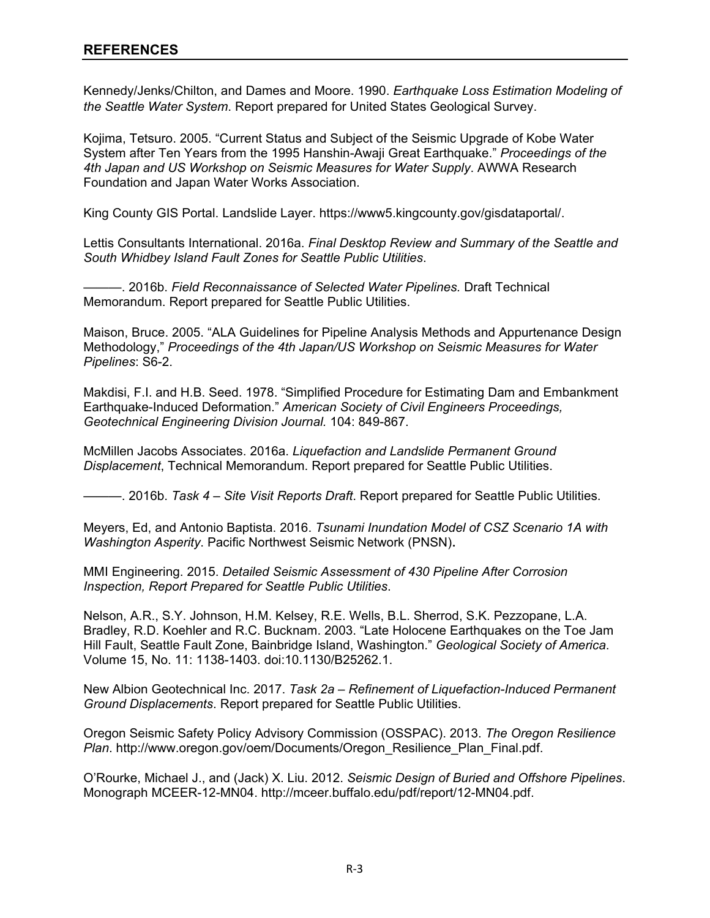Kennedy/Jenks/Chilton, and Dames and Moore. 1990. *Earthquake Loss Estimation Modeling of the Seattle Water System*. Report prepared for United States Geological Survey.

Kojima, Tetsuro. 2005. "Current Status and Subject of the Seismic Upgrade of Kobe Water System after Ten Years from the 1995 Hanshin-Awaji Great Earthquake." *Proceedings of the 4th Japan and US Workshop on Seismic Measures for Water Supply*. AWWA Research Foundation and Japan Water Works Association.

King County GIS Portal. Landslide Layer. https://www5.kingcounty.gov/gisdataportal/.

Lettis Consultants International. 2016a. *Final Desktop Review and Summary of the Seattle and South Whidbey Island Fault Zones for Seattle Public Utilities*.

———. 2016b. *Field Reconnaissance of Selected Water Pipelines.* Draft Technical Memorandum. Report prepared for Seattle Public Utilities.

Maison, Bruce. 2005. "ALA Guidelines for Pipeline Analysis Methods and Appurtenance Design Methodology," *Proceedings of the 4th Japan/US Workshop on Seismic Measures for Water Pipelines*: S6-2.

Makdisi, F.I. and H.B. Seed. 1978. "Simplified Procedure for Estimating Dam and Embankment Earthquake-Induced Deformation." *American Society of Civil Engineers Proceedings, Geotechnical Engineering Division Journal.* 104: 849-867.

McMillen Jacobs Associates. 2016a. *Liquefaction and Landslide Permanent Ground Displacement*, Technical Memorandum. Report prepared for Seattle Public Utilities.

———. 2016b. *Task 4 – Site Visit Reports Draft*. Report prepared for Seattle Public Utilities.

Meyers, Ed, and Antonio Baptista. 2016. *Tsunami Inundation Model of CSZ Scenario 1A with Washington Asperity*. Pacific Northwest Seismic Network (PNSN).

MMI Engineering. 2015. *Detailed Seismic Assessment of 430 Pipeline After Corrosion Inspection, Report Prepared for Seattle Public Utilities*.

Nelson, A.R., S.Y. Johnson, H.M. Kelsey, R.E. Wells, B.L. Sherrod, S.K. Pezzopane, L.A. Bradley, R.D. Koehler and R.C. Bucknam. 2003. "Late Holocene Earthquakes on the Toe Jam Hill Fault, Seattle Fault Zone, Bainbridge Island, Washington." *Geological Society of America*. Volume 15, No. 11: 1138-1403. doi:10.1130/B25262.1.

New Albion Geotechnical Inc. 2017. *Task 2a – Refinement of Liquefaction-Induced Permanent Ground Displacements*. Report prepared for Seattle Public Utilities.

Oregon Seismic Safety Policy Advisory Commission (OSSPAC). 2013. *The Oregon Resilience Plan*. http://www.oregon.gov/oem/Documents/Oregon\_Resilience\_Plan\_Final.pdf.

O'Rourke, Michael J., and (Jack) X. Liu. 2012. *Seismic Design of Buried and Offshore Pipelines*. Monograph MCEER-12-MN04. http://mceer.buffalo.edu/pdf/report/12-MN04.pdf.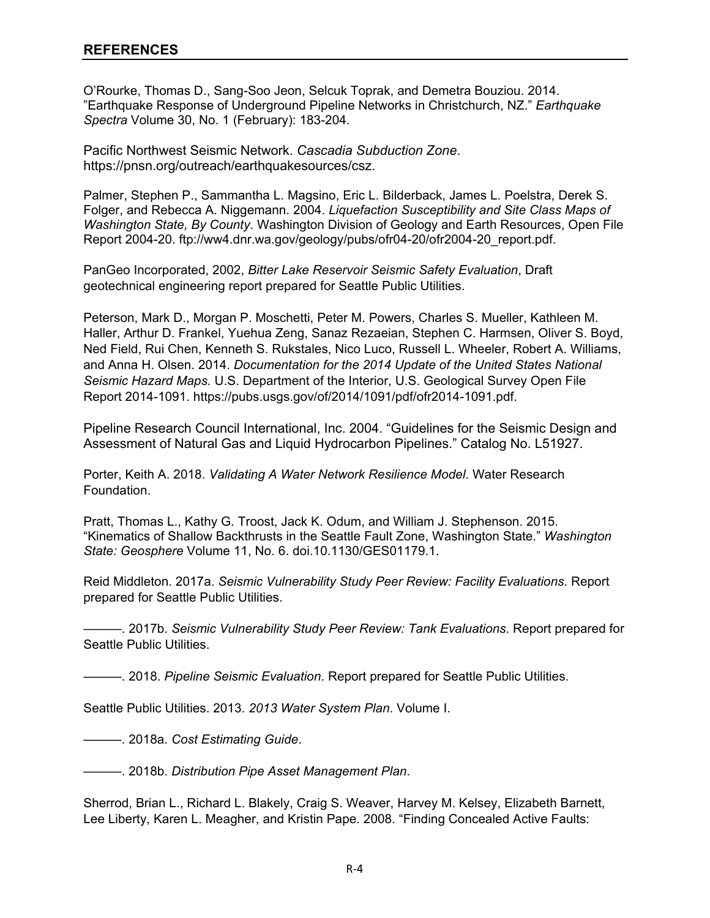O'Rourke, Thomas D., Sang-Soo Jeon, Selcuk Toprak, and Demetra Bouziou. 2014. "Earthquake Response of Underground Pipeline Networks in Christchurch, NZ." *Earthquake Spectra* Volume 30, No. 1 (February): 183-204.

Pacific Northwest Seismic Network. *Cascadia Subduction Zone*. https://pnsn.org/outreach/earthquakesources/csz.

Palmer, Stephen P., Sammantha L. Magsino, Eric L. Bilderback, James L. Poelstra, Derek S. Folger, and Rebecca A. Niggemann. 2004. *Liquefaction Susceptibility and Site Class Maps of Washington State, By County*. Washington Division of Geology and Earth Resources, Open File Report 2004-20. ftp://ww4.dnr.wa.gov/geology/pubs/ofr04-20/ofr2004-20\_report.pdf.

PanGeo Incorporated, 2002, *Bitter Lake Reservoir Seismic Safety Evaluation*, Draft geotechnical engineering report prepared for Seattle Public Utilities.

Peterson, Mark D., Morgan P. Moschetti, Peter M. Powers, Charles S. Mueller, Kathleen M. Haller, Arthur D. Frankel, Yuehua Zeng, Sanaz Rezaeian, Stephen C. Harmsen, Oliver S. Boyd, Ned Field, Rui Chen, Kenneth S. Rukstales, Nico Luco, Russell L. Wheeler, Robert A. Williams, and Anna H. Olsen. 2014. *Documentation for the 2014 Update of the United States National Seismic Hazard Maps.* U.S. Department of the Interior, U.S. Geological Survey Open File Report 2014-1091. https://pubs.usgs.gov/of/2014/1091/pdf/ofr2014-1091.pdf.

Pipeline Research Council International, Inc. 2004. "Guidelines for the Seismic Design and Assessment of Natural Gas and Liquid Hydrocarbon Pipelines." Catalog No. L51927.

Porter, Keith A. 2018. *Validating A Water Network Resilience Model*. Water Research Foundation.

Pratt, Thomas L., Kathy G. Troost, Jack K. Odum, and William J. Stephenson. 2015. "Kinematics of Shallow Backthrusts in the Seattle Fault Zone, Washington State." *Washington State: Geosphere* Volume 11, No. 6. doi.10.1130/GES01179.1.

Reid Middleton. 2017a. *Seismic Vulnerability Study Peer Review: Facility Evaluations*. Report prepared for Seattle Public Utilities.

———. 2017b. *Seismic Vulnerability Study Peer Review: Tank Evaluations*. Report prepared for Seattle Public Utilities.

———. 2018. *Pipeline Seismic Evaluation*. Report prepared for Seattle Public Utilities.

Seattle Public Utilities. 2013. *2013 Water System Plan*. Volume I.

———. 2018a. *Cost Estimating Guide*.

———. 2018b. *Distribution Pipe Asset Management Plan*.

Sherrod, Brian L., Richard L. Blakely, Craig S. Weaver, Harvey M. Kelsey, Elizabeth Barnett, Lee Liberty, Karen L. Meagher, and Kristin Pape. 2008. "Finding Concealed Active Faults: